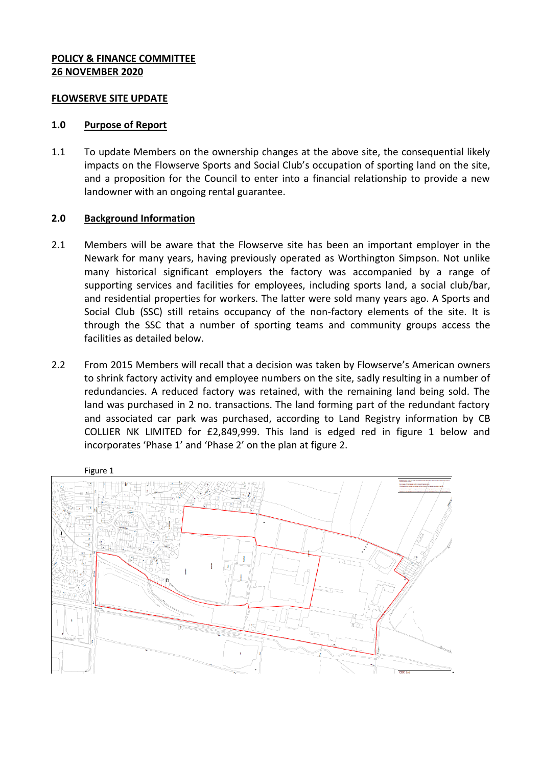## **POLICY & FINANCE COMMITTEE 26 NOVEMBER 2020**

#### **FLOWSERVE SITE UPDATE**

#### **1.0 Purpose of Report**

1.1 To update Members on the ownership changes at the above site, the consequential likely impacts on the Flowserve Sports and Social Club's occupation of sporting land on the site, and a proposition for the Council to enter into a financial relationship to provide a new landowner with an ongoing rental guarantee.

## **2.0 Background Information**

- 2.1 Members will be aware that the Flowserve site has been an important employer in the Newark for many years, having previously operated as Worthington Simpson. Not unlike many historical significant employers the factory was accompanied by a range of supporting services and facilities for employees, including sports land, a social club/bar, and residential properties for workers. The latter were sold many years ago. A Sports and Social Club (SSC) still retains occupancy of the non-factory elements of the site. It is through the SSC that a number of sporting teams and community groups access the facilities as detailed below.
- 2.2 From 2015 Members will recall that a decision was taken by Flowserve's American owners to shrink factory activity and employee numbers on the site, sadly resulting in a number of redundancies. A reduced factory was retained, with the remaining land being sold. The land was purchased in 2 no. transactions. The land forming part of the redundant factory and associated car park was purchased, according to Land Registry information by CB COLLIER NK LIMITED for £2,849,999. This land is edged red in figure 1 below and incorporates 'Phase 1' and 'Phase 2' on the plan at figure 2.

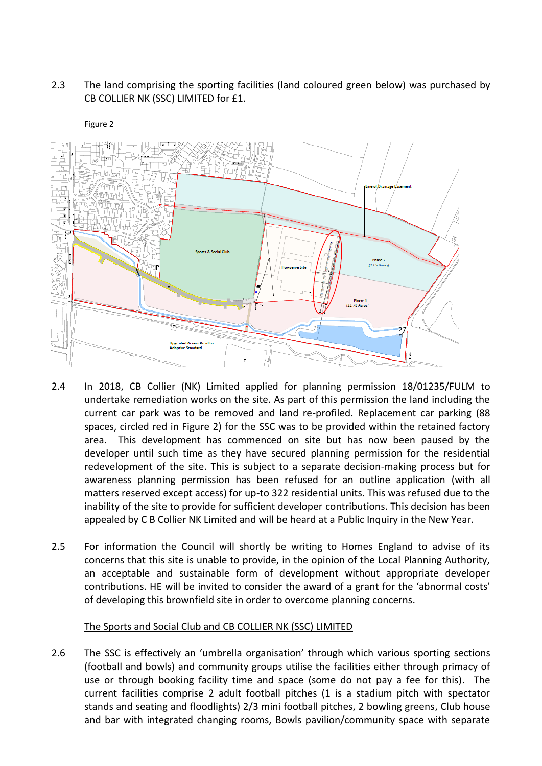# 2.3 The land comprising the sporting facilities (land coloured green below) was purchased by CB COLLIER NK (SSC) LIMITED for £1.



#### Figure 2

- 2.4 In 2018, CB Collier (NK) Limited applied for planning permission 18/01235/FULM to undertake remediation works on the site. As part of this permission the land including the current car park was to be removed and land re-profiled. Replacement car parking (88 spaces, circled red in Figure 2) for the SSC was to be provided within the retained factory area. This development has commenced on site but has now been paused by the developer until such time as they have secured planning permission for the residential redevelopment of the site. This is subject to a separate decision-making process but for awareness planning permission has been refused for an outline application (with all matters reserved except access) for up-to 322 residential units. This was refused due to the inability of the site to provide for sufficient developer contributions. This decision has been appealed by C B Collier NK Limited and will be heard at a Public Inquiry in the New Year.
- 2.5 For information the Council will shortly be writing to Homes England to advise of its concerns that this site is unable to provide, in the opinion of the Local Planning Authority, an acceptable and sustainable form of development without appropriate developer contributions. HE will be invited to consider the award of a grant for the 'abnormal costs' of developing this brownfield site in order to overcome planning concerns.

# The Sports and Social Club and CB COLLIER NK (SSC) LIMITED

2.6 The SSC is effectively an 'umbrella organisation' through which various sporting sections (football and bowls) and community groups utilise the facilities either through primacy of use or through booking facility time and space (some do not pay a fee for this). The current facilities comprise 2 adult football pitches (1 is a stadium pitch with spectator stands and seating and floodlights) 2/3 mini football pitches, 2 bowling greens, Club house and bar with integrated changing rooms, Bowls pavilion/community space with separate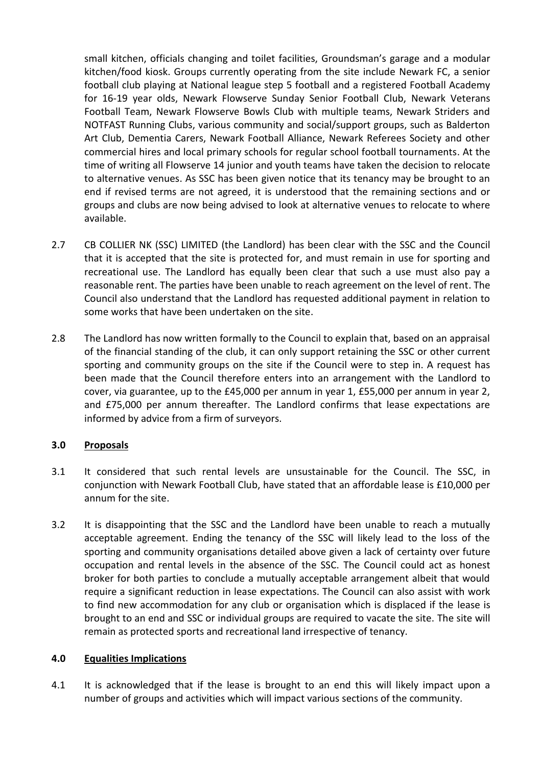small kitchen, officials changing and toilet facilities, Groundsman's garage and a modular kitchen/food kiosk. Groups currently operating from the site include Newark FC, a senior football club playing at National league step 5 football and a registered Football Academy for 16-19 year olds, Newark Flowserve Sunday Senior Football Club, Newark Veterans Football Team, Newark Flowserve Bowls Club with multiple teams, Newark Striders and NOTFAST Running Clubs, various community and social/support groups, such as Balderton Art Club, Dementia Carers, Newark Football Alliance, Newark Referees Society and other commercial hires and local primary schools for regular school football tournaments. At the time of writing all Flowserve 14 junior and youth teams have taken the decision to relocate to alternative venues. As SSC has been given notice that its tenancy may be brought to an end if revised terms are not agreed, it is understood that the remaining sections and or groups and clubs are now being advised to look at alternative venues to relocate to where available.

- 2.7 CB COLLIER NK (SSC) LIMITED (the Landlord) has been clear with the SSC and the Council that it is accepted that the site is protected for, and must remain in use for sporting and recreational use. The Landlord has equally been clear that such a use must also pay a reasonable rent. The parties have been unable to reach agreement on the level of rent. The Council also understand that the Landlord has requested additional payment in relation to some works that have been undertaken on the site.
- 2.8 The Landlord has now written formally to the Council to explain that, based on an appraisal of the financial standing of the club, it can only support retaining the SSC or other current sporting and community groups on the site if the Council were to step in. A request has been made that the Council therefore enters into an arrangement with the Landlord to cover, via guarantee, up to the £45,000 per annum in year 1, £55,000 per annum in year 2, and £75,000 per annum thereafter. The Landlord confirms that lease expectations are informed by advice from a firm of surveyors.

# **3.0 Proposals**

- 3.1 It considered that such rental levels are unsustainable for the Council. The SSC, in conjunction with Newark Football Club, have stated that an affordable lease is £10,000 per annum for the site.
- 3.2 It is disappointing that the SSC and the Landlord have been unable to reach a mutually acceptable agreement. Ending the tenancy of the SSC will likely lead to the loss of the sporting and community organisations detailed above given a lack of certainty over future occupation and rental levels in the absence of the SSC. The Council could act as honest broker for both parties to conclude a mutually acceptable arrangement albeit that would require a significant reduction in lease expectations. The Council can also assist with work to find new accommodation for any club or organisation which is displaced if the lease is brought to an end and SSC or individual groups are required to vacate the site. The site will remain as protected sports and recreational land irrespective of tenancy.

## **4.0 Equalities Implications**

4.1 It is acknowledged that if the lease is brought to an end this will likely impact upon a number of groups and activities which will impact various sections of the community.